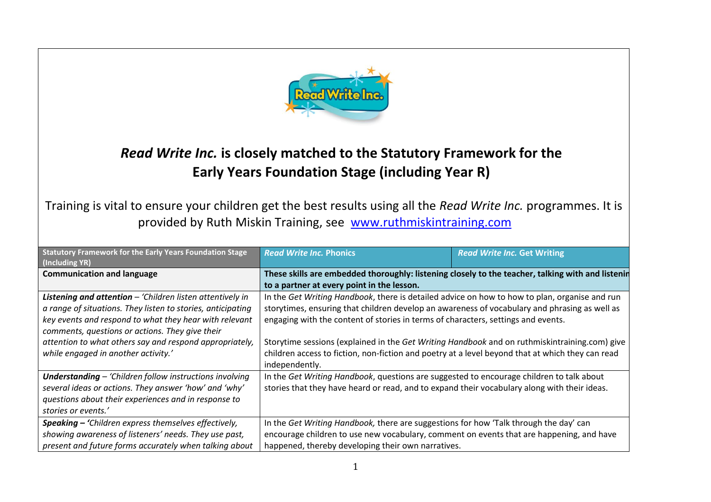

## *Read Write Inc.* **is closely matched to the Statutory Framework for the Early Years Foundation Stage (including Year R)**

Training is vital to ensure your children get the best results using all the *Read Write Inc.* programmes. It is provided by Ruth Miskin Training, see [www.ruthmiskintraining.com](http://www.ruthmiskintraining.com/)

| <b>Statutory Framework for the Early Years Foundation Stage</b><br>(Including YR) | <b>Read Write Inc. Phonics</b>                                                                    | <b>Read Write Inc. Get Writing</b> |  |
|-----------------------------------------------------------------------------------|---------------------------------------------------------------------------------------------------|------------------------------------|--|
| <b>Communication and language</b>                                                 | These skills are embedded thoroughly: listening closely to the teacher, talking with and listenin |                                    |  |
|                                                                                   | to a partner at every point in the lesson.                                                        |                                    |  |
| Listening and attention - 'Children listen attentively in                         | In the Get Writing Handbook, there is detailed advice on how to how to plan, organise and run     |                                    |  |
| a range of situations. They listen to stories, anticipating                       | storytimes, ensuring that children develop an awareness of vocabulary and phrasing as well as     |                                    |  |
| key events and respond to what they hear with relevant                            | engaging with the content of stories in terms of characters, settings and events.                 |                                    |  |
| comments, questions or actions. They give their                                   |                                                                                                   |                                    |  |
| attention to what others say and respond appropriately,                           | Storytime sessions (explained in the Get Writing Handbook and on ruthmiskintraining.com) give     |                                    |  |
| while engaged in another activity.'                                               | children access to fiction, non-fiction and poetry at a level beyond that at which they can read  |                                    |  |
|                                                                                   | independently.                                                                                    |                                    |  |
| <b>Understanding - 'Children follow instructions involving</b>                    | In the Get Writing Handbook, questions are suggested to encourage children to talk about          |                                    |  |
| several ideas or actions. They answer 'how' and 'why'                             | stories that they have heard or read, and to expand their vocabulary along with their ideas.      |                                    |  |
| questions about their experiences and in response to                              |                                                                                                   |                                    |  |
| stories or events.'                                                               |                                                                                                   |                                    |  |
| Speaking - 'Children express themselves effectively,                              | In the Get Writing Handbook, there are suggestions for how 'Talk through the day' can             |                                    |  |
| showing awareness of listeners' needs. They use past,                             | encourage children to use new vocabulary, comment on events that are happening, and have          |                                    |  |
| present and future forms accurately when talking about                            | happened, thereby developing their own narratives.                                                |                                    |  |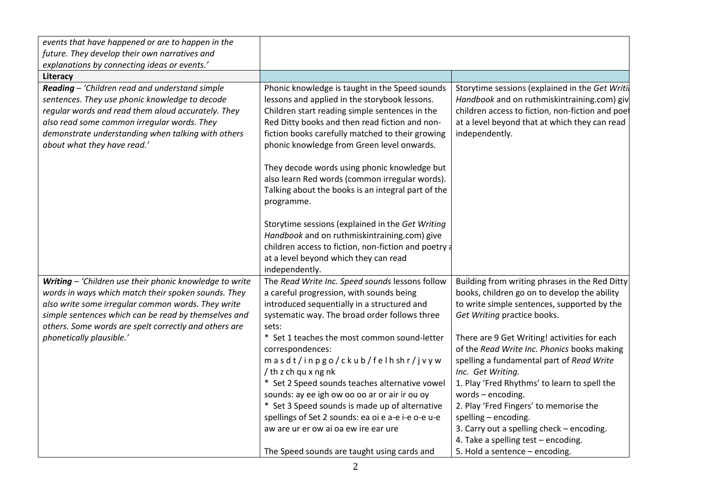| events that have happened or are to happen in the                                                                                                                                                                                                                                          |                                                                                                                                                                                                                                                                                                                                                                              |                                                                                                                                                                                                                                                                                                                                                                                          |
|--------------------------------------------------------------------------------------------------------------------------------------------------------------------------------------------------------------------------------------------------------------------------------------------|------------------------------------------------------------------------------------------------------------------------------------------------------------------------------------------------------------------------------------------------------------------------------------------------------------------------------------------------------------------------------|------------------------------------------------------------------------------------------------------------------------------------------------------------------------------------------------------------------------------------------------------------------------------------------------------------------------------------------------------------------------------------------|
| future. They develop their own narratives and                                                                                                                                                                                                                                              |                                                                                                                                                                                                                                                                                                                                                                              |                                                                                                                                                                                                                                                                                                                                                                                          |
| explanations by connecting ideas or events.'                                                                                                                                                                                                                                               |                                                                                                                                                                                                                                                                                                                                                                              |                                                                                                                                                                                                                                                                                                                                                                                          |
| Literacy                                                                                                                                                                                                                                                                                   |                                                                                                                                                                                                                                                                                                                                                                              |                                                                                                                                                                                                                                                                                                                                                                                          |
| Reading - 'Children read and understand simple<br>sentences. They use phonic knowledge to decode<br>regular words and read them aloud accurately. They<br>also read some common irregular words. They<br>demonstrate understanding when talking with others<br>about what they have read.' | Phonic knowledge is taught in the Speed sounds<br>lessons and applied in the storybook lessons.<br>Children start reading simple sentences in the<br>Red Ditty books and then read fiction and non-<br>fiction books carefully matched to their growing<br>phonic knowledge from Green level onwards.<br>They decode words using phonic knowledge but                        | Storytime sessions (explained in the Get Writil<br>Handbook and on ruthmiskintraining.com) giv<br>children access to fiction, non-fiction and poet<br>at a level beyond that at which they can read<br>independently.                                                                                                                                                                    |
|                                                                                                                                                                                                                                                                                            | also learn Red words (common irregular words).<br>Talking about the books is an integral part of the<br>programme.<br>Storytime sessions (explained in the Get Writing<br>Handbook and on ruthmiskintraining.com) give<br>children access to fiction, non-fiction and poetry a<br>at a level beyond which they can read<br>independently.                                    |                                                                                                                                                                                                                                                                                                                                                                                          |
| Writing - 'Children use their phonic knowledge to write<br>words in ways which match their spoken sounds. They                                                                                                                                                                             | The Read Write Inc. Speed sounds lessons follow<br>a careful progression, with sounds being                                                                                                                                                                                                                                                                                  | Building from writing phrases in the Red Ditty<br>books, children go on to develop the ability                                                                                                                                                                                                                                                                                           |
| also write some irregular common words. They write<br>simple sentences which can be read by themselves and<br>others. Some words are spelt correctly and others are                                                                                                                        | introduced sequentially in a structured and<br>systematic way. The broad order follows three<br>sets:                                                                                                                                                                                                                                                                        | to write simple sentences, supported by the<br>Get Writing practice books.                                                                                                                                                                                                                                                                                                               |
| phonetically plausible.'                                                                                                                                                                                                                                                                   | * Set 1 teaches the most common sound-letter<br>correspondences:<br>masdt/inpgo/ckub/felhshr/jvyw<br>/ th z ch qu x ng nk<br>* Set 2 Speed sounds teaches alternative vowel<br>sounds: ay ee igh ow oo oo ar or air ir ou oy<br>* Set 3 Speed sounds is made up of alternative<br>spellings of Set 2 sounds: ea oi e a-e i-e o-e u-e<br>aw are ur er ow ai oa ew ire ear ure | There are 9 Get Writing! activities for each<br>of the Read Write Inc. Phonics books making<br>spelling a fundamental part of Read Write<br>Inc. Get Writing.<br>1. Play 'Fred Rhythms' to learn to spell the<br>words - encoding.<br>2. Play 'Fred Fingers' to memorise the<br>spelling - encoding.<br>3. Carry out a spelling check - encoding.<br>4. Take a spelling test - encoding. |
|                                                                                                                                                                                                                                                                                            | The Speed sounds are taught using cards and                                                                                                                                                                                                                                                                                                                                  | 5. Hold a sentence - encoding.                                                                                                                                                                                                                                                                                                                                                           |